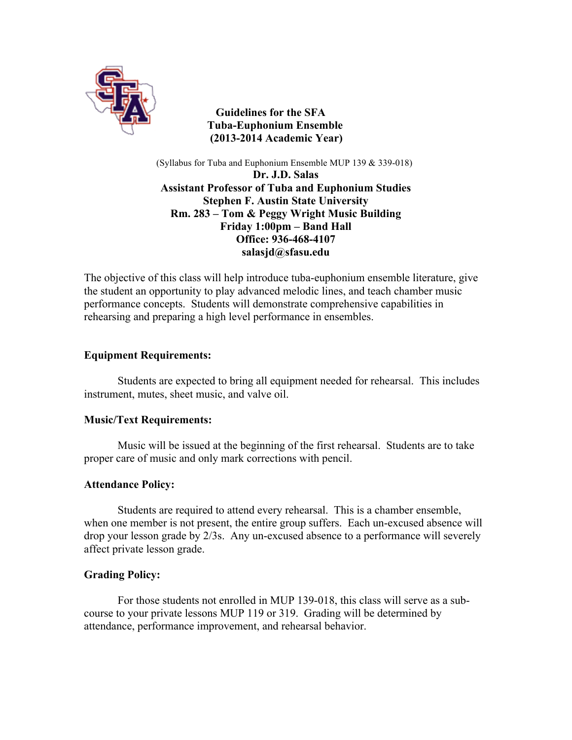

 **Guidelines for the SFA Tuba-Euphonium Ensemble (2013-2014 Academic Year)**

(Syllabus for Tuba and Euphonium Ensemble MUP 139 & 339-018) **Dr. J.D. Salas Assistant Professor of Tuba and Euphonium Studies Stephen F. Austin State University Rm. 283 – Tom & Peggy Wright Music Building Friday 1:00pm – Band Hall Office: 936-468-4107 salasjd@sfasu.edu**

The objective of this class will help introduce tuba-euphonium ensemble literature, give the student an opportunity to play advanced melodic lines, and teach chamber music performance concepts. Students will demonstrate comprehensive capabilities in rehearsing and preparing a high level performance in ensembles.

## **Equipment Requirements:**

Students are expected to bring all equipment needed for rehearsal. This includes instrument, mutes, sheet music, and valve oil.

### **Music/Text Requirements:**

Music will be issued at the beginning of the first rehearsal. Students are to take proper care of music and only mark corrections with pencil.

### **Attendance Policy:**

Students are required to attend every rehearsal. This is a chamber ensemble, when one member is not present, the entire group suffers. Each un-excused absence will drop your lesson grade by 2/3s. Any un-excused absence to a performance will severely affect private lesson grade.

### **Grading Policy:**

For those students not enrolled in MUP 139-018, this class will serve as a subcourse to your private lessons MUP 119 or 319. Grading will be determined by attendance, performance improvement, and rehearsal behavior.